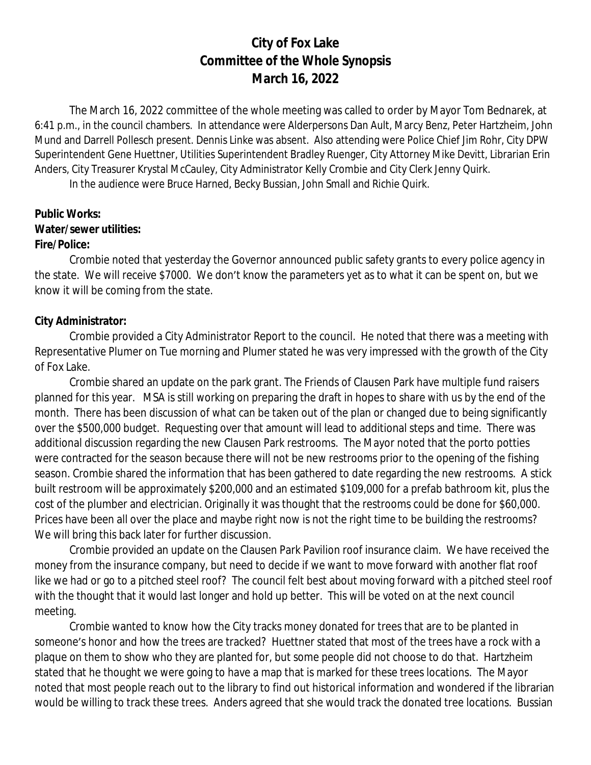# **City of Fox Lake Committee of the Whole Synopsis March 16, 2022**

The March 16, 2022 committee of the whole meeting was called to order by Mayor Tom Bednarek, at 6:41 p.m., in the council chambers. In attendance were Alderpersons Dan Ault, Marcy Benz, Peter Hartzheim, John Mund and Darrell Pollesch present. Dennis Linke was absent. Also attending were Police Chief Jim Rohr, City DPW Superintendent Gene Huettner, Utilities Superintendent Bradley Ruenger, City Attorney Mike Devitt, Librarian Erin Anders, City Treasurer Krystal McCauley, City Administrator Kelly Crombie and City Clerk Jenny Quirk.

In the audience were Bruce Harned, Becky Bussian, John Small and Richie Quirk.

## **Public Works: Water/sewer utilities: Fire/Police:**

Crombie noted that yesterday the Governor announced public safety grants to every police agency in the state. We will receive \$7000. We don't know the parameters yet as to what it can be spent on, but we know it will be coming from the state.

## **City Administrator:**

Crombie provided a City Administrator Report to the council. He noted that there was a meeting with Representative Plumer on Tue morning and Plumer stated he was very impressed with the growth of the City of Fox Lake.

Crombie shared an update on the park grant. The Friends of Clausen Park have multiple fund raisers planned for this year. MSA is still working on preparing the draft in hopes to share with us by the end of the month. There has been discussion of what can be taken out of the plan or changed due to being significantly over the \$500,000 budget. Requesting over that amount will lead to additional steps and time. There was additional discussion regarding the new Clausen Park restrooms. The Mayor noted that the porto potties were contracted for the season because there will not be new restrooms prior to the opening of the fishing season. Crombie shared the information that has been gathered to date regarding the new restrooms. A stick built restroom will be approximately \$200,000 and an estimated \$109,000 for a prefab bathroom kit, plus the cost of the plumber and electrician. Originally it was thought that the restrooms could be done for \$60,000. Prices have been all over the place and maybe right now is not the right time to be building the restrooms? We will bring this back later for further discussion.

Crombie provided an update on the Clausen Park Pavilion roof insurance claim. We have received the money from the insurance company, but need to decide if we want to move forward with another flat roof like we had or go to a pitched steel roof? The council felt best about moving forward with a pitched steel roof with the thought that it would last longer and hold up better. This will be voted on at the next council meeting.

Crombie wanted to know how the City tracks money donated for trees that are to be planted in someone's honor and how the trees are tracked? Huettner stated that most of the trees have a rock with a plaque on them to show who they are planted for, but some people did not choose to do that. Hartzheim stated that he thought we were going to have a map that is marked for these trees locations. The Mayor noted that most people reach out to the library to find out historical information and wondered if the librarian would be willing to track these trees. Anders agreed that she would track the donated tree locations. Bussian